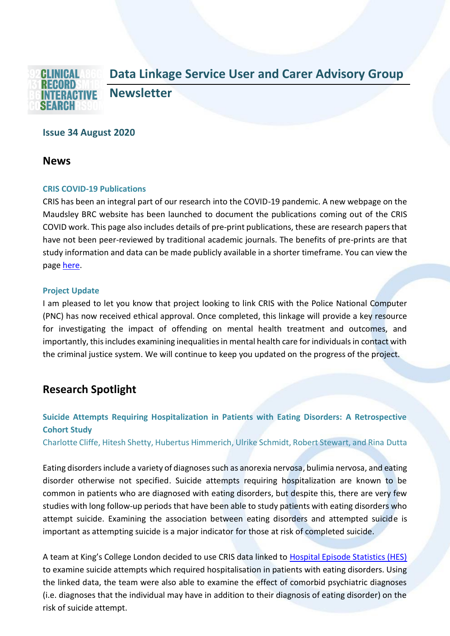

# **Issue 34 August 2020**

## **News**

#### **CRIS COVID-19 Publications**

CRIS has been an integral part of our research into the COVID-19 pandemic. A new webpage on the Maudsley BRC website has been launched to document the publications coming out of the CRIS COVID work. This page also includes details of pre-print publications, these are research papers that have not been peer-reviewed by traditional academic journals. The benefits of pre-prints are that study information and data can be made publicly available in a shorter timeframe. You can view the page [here.](https://www.maudsleybrc.nihr.ac.uk/facilities/clinical-record-interactive-search-cris/covid-19-publications/)

#### **Project Update**

I am pleased to let you know that project looking to link CRIS with the Police National Computer (PNC) has now received ethical approval. Once completed, this linkage will provide a key resource for investigating the impact of offending on mental health treatment and outcomes, and importantly, this includes examining inequalities in mental health care for individuals in contact with the criminal justice system. We will continue to keep you updated on the progress of the project.

# **Research Spotlight**

# **Suicide Attempts Requiring Hospitalization in Patients with Eating Disorders: A Retrospective Cohort Study**

Charlotte Cliffe, Hitesh Shetty, Hubertus Himmerich, Ulrike Schmidt, Robert Stewart, and Rina Dutta

Eating disorders include a variety of diagnoses such as anorexia nervosa, bulimia nervosa, and eating disorder otherwise not specified. Suicide attempts requiring hospitalization are known to be common in patients who are diagnosed with eating disorders, but despite this, there are very few studies with long follow-up periods that have been able to study patients with eating disorders who attempt suicide. Examining the association between eating disorders and attempted suicide is important as attempting suicide is a major indicator for those at risk of completed suicide.

A team at King's College London decided to use CRIS data linked to [Hospital Episode Statistics \(HES\)](https://digital.nhs.uk/data-and-information/data-tools-and-services/data-services/hospital-episode-statistics) to examine suicide attempts which required hospitalisation in patients with eating disorders. Using the linked data, the team were also able to examine the effect of comorbid psychiatric diagnoses (i.e. diagnoses that the individual may have in addition to their diagnosis of eating disorder) on the risk of suicide attempt.